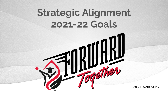# **Strategic Alignment 2021-22 Goals**

FORWARD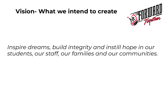#### **Vision- What we intend to create**



#### *Inspire dreams, build integrity and instill hope in our students, our staff, our families and our communities.*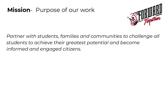#### **Mission**- Purpose of our work



*Partner with students, families and communities to challenge all students to achieve their greatest potential and become informed and engaged citizens.*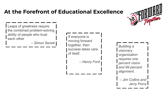#### **At the Forefront of Educational Excellence**



Leaps of greatness require the combined problem-solving ability of people who trust each other

– *Simon Senek*

If everyone is moving forward together, then success takes care of itself.

– *Henry Ford*

*Building a visionary organization requires one percent vision and 99 percent alignment.*

*– Jim Collins and Jerry Porra*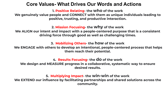#### **Core Values- What Drives Our Words and Actions**

**1. Positive Relating- the who of the work**

**We genuinely value people and CONNECT with them as unique individuals leading to positive, trusting, and productive interaction.**

#### **2. Mission Focusing- the why of the work**

**We ALIGN our intent and impact with a people-centered purpose that is a consistent driving force through good as well as challenging times.**

**3. Mobilizing Others- the how of the work**

**We ENGAGE with others to develop an intentional, people-centered process that helps them reach their potential.**

#### **4. Results Focusing- the do of the work**

**We design and MEASURE progress in a collaborative, systematic way to ensure desired results.**

**5. Multiplying Impact- the win-win of the work We EXTEND our influence by facilitating partnerships and shared solutions across the community.**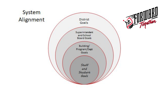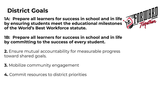#### **District Goals**

**1A: Prepare all learners for success in school and in life and III RIVILLE by ensuring students meet the educational milestones of the World's Best Workforce statute.**



**1B: Prepare all learners for success in school and in life by committing to the success of every student.**

**2.** Ensure mutual accountability for measurable progress toward shared goals.

- **3.** Mobilize community engagement
- **4.** Commit resources to district priorities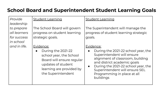#### **School Board and Superintendent Student Learning Goals**

| Provide                                                              | <b>Student Learning</b>                                                                                                                                         | <b>Student Learning</b>                                                                                                                                                                                                                                                                          |
|----------------------------------------------------------------------|-----------------------------------------------------------------------------------------------------------------------------------------------------------------|--------------------------------------------------------------------------------------------------------------------------------------------------------------------------------------------------------------------------------------------------------------------------------------------------|
| leadership<br>to prepare<br>all learners<br>for success<br>in school | The School Board will govern<br>progress on student learning<br>strategic goals.                                                                                | The Superintendent will manage the<br>progress of student learning strategic<br>goals.                                                                                                                                                                                                           |
| and in life.                                                         | Evidence:<br>During the 2021-22<br>school year, the School<br>Board will ensure regular<br>updates of student<br>learning are provided by<br>the Superintendent | Evidence:<br>During the 2021-22 school year, the<br>$\bullet$<br>Superintendent will ensure<br>alignment of classroom, building<br>and district academic goals<br>During the 2021-22 school year, the<br>$\bullet$<br>Superintendent will ensure SEL<br>Programming in place at all<br>buildings |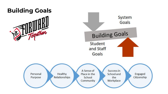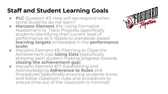## **Staff and Student Learning Goals**

- **PLC** Question #3: How will we respond when some students do not learn?
- **Marzano Element** #14: Using Formative Assessment to Track Progress (specifically students identifying their current level of performance as it relates to standards-based **learning targets** embedded in the **performance scale**)
- Marzano Element #3: Planning to Close the Achievement Gap **Using Data** (specifically showing each student making progress towards **closing the achievement gap**)
- Marzano Element #17: Establishing and Acknowledging **Adherence to Rules** and Procedures (specifically ensuring students know and follow classroom rules and procedures to ensure time out of the classroom is minimal)

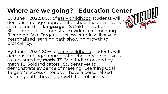### **Where are we going? - Education Center**

STU

By June 1, 2022, 80% of early childhood students will demonstrate age-appropriate school readiness skills as measured by **language** TS Gold Indicators. Students yet to demonstrate evidence of meeting "Learning Goal Targets" success criteria will have a personalized learning path showing growth to proficiency.

By June 1, 2022, 80% of early childhood students will demonstrate age-appropriate school readiness skills as measured by **math** TS Gold Indicators and by math TS Gold Indicators. Students yet to demonstrate evidence of meeting "Learning Goal Targets" success criteria will have a personalized learning path showing growth to proficiency.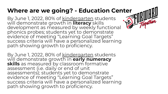### **Where are we going? - Education Center**

By June 1, 2022, 80% of kindergarten students will demonstrate growth in **literacy** skills development as measured by weekly functional phonics probes; students yet to demonstrate evidence of meeting "Learning Goal Targets" success criteria will have a personalized learning path showing growth to proficiency.

By June 1, 2022, 80% of kindergarten students will demonstrate growth in **early numeracy skills** as measured by classroom formative assessment (i.e. daily or end of unit assessments); students yet to demonstrate evidence of meeting "Learning Goal Targets" success criteria will have a personalized learning path showing growth to proficiency.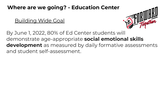#### **Where are we going? - Education Center**

Building Wide Goal



By June 1, 2022, 80% of Ed Center students will demonstrate age-appropriate **social emotional skills development** as measured by daily formative assessments and student self-assessment.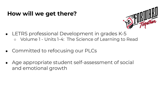#### **How will we get there?**



- LETRS professional Development in grades K-5 ○ Volume 1 - Units 1-4: The Science of Learning to Read
- Committed to refocusing our PLCs
- Age appropriate student self-assessment of social and emotional growth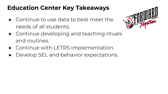## **Education Center Key Takeaways**

● Continue to use data to best meet the needs of all students.



- Continue developing and teaching rituals and routines.
- Continue with LETRS implementation.
- Develop SEL and behavior expectations.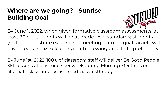### **Where are we going? - Sunrise Building Goal**



By June 1, 2022, when given formative classroom assessments, at least 80% of students will be at grade level standards; students yet to demonstrate evidence of meeting learning goal targets will have a personalized learning path showing growth to proficiency.

By June 1st, 2022, 100% of classroom staff will deliver Be Good People SEL lessons at least once per week during Morning Meetings or alternate class time, as assessed via walkthroughs.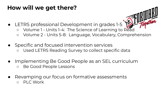#### **How will we get there?**

- LETRS professional Development in grades 1-5 o Volume 1 - Units 1-4: The Science of Learning to Read ○ Volume 2 - Units 5-8: Language, Vocabulary, Comprehension
- Specific and focused intervention services ○ Used LETRS Reading Survey to collect specific data
- Implementing Be Good People as an SEL curriculum ○ Be Good People Lessons
- Revamping our focus on formative assessments ○ PLC Work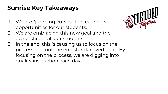### **Sunrise Key Takeaways**

1. We are "jumping curves" to create new opportunities for our students.



- 2. We are embracing this new goal and the ownership of all our students.
- 3. In the end, this is causing us to focus on the process and not the end standardized goal. By focusing on the process, we are digging into quality instruction each day.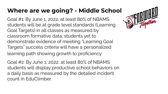#### **Where are we going? - Middle School**

Goal #1: By June 1, 2022, at least 80% of NBAMS students will be at grade level standards (Learning Goal Targets) in all classes as measured by classroom formative data; students yet to demonstrate evidence of meeting "Learning Goal Targets" success criteria will have a personalized learning path showing growth to proficiency.

Goal #2: By June 1, 2022, at least 80% of NBAMS students will display productive school behaviors on a daily basis as measured by the detailed incident count in EduClimber.

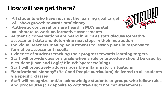## **How will we get there?**

- **● All students who have not met the learning goal target will show growth towards proficiency**
- **● Authentic conversations are heard in PLCs as staff collaborate to work on formative assessments**



- **● Authentic conversations are heard in PLCs as staff discuss formative assessment data and determine next steps in their instruction**
- **● Individual teachers making adjustments to lesson plans in response to formative assessment results**
- **● Evidence of students tracking their progress towards learning targets**
- **● Staff will provide cues or signals when a rule or procedure should be used by a student (Love and Logic/ Kid Whisperer training)**
- **● Staff will proactively address possible inflammatory situations**
- **● "Motivational Monday" (Be Good People curriculum) delivered to all students via specific classes**
- **● Staff will recognize and/or acknowledge students or groups who follow rules and procedures (3:1 deposits to withdrawals; "I notice" statements)**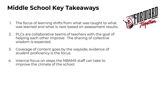## **Middle School Key Takeaways**

- 1. The focus of learning shifts from what was taught to what was learned and what is next based on assessment results.
- 2. PLCs are collaborative teams of teachers with the goal of helping each other improve. The sharing of collective wisdom is expected.
- 3. Coverage of content goes by the wayside; evidence of student proficiency is the focus.
- 4. Internal focus on steps the NBAMS staff can take to improve the climate of the school.

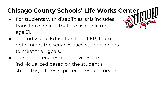## **Chisago County Schools' Life Works Center**

- For students with disabilities, this includes transition services that are available until age 21.
- The Individual Education Plan (IEP) team determines the services each student needs to meet their goals.
- Transition services and activities are individualized based on the student's strengths, interests, preferences, and needs.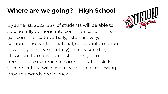#### **Where are we going? - High School**

By June 1st, 2022, 85% of students will be able to successfully demonstrate communication skills (i.e. communicate verbally, listen actively, comprehend written material, convey information in writing, observe carefully) as measured by classroom formative data; students yet to demonstrate evidence of communication skills' success criteria will have a learning path showing growth towards proficiency.

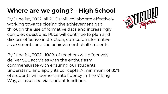## **Where are we going? - High School**

By June 1st, 2022, all PLC's will collaborate effectively working towards closing the achievement gap through the use of formative data and increasingly complex questions. PLCs will continue to plan and discuss effective instruction, curriculum, formative assessments and the achievement of all students.

By June 1st, 2022, 100% of teachers will effectively deliver SEL activities with the enthusiasm commensurate with ensuring our students understand and apply its concepts. A minimum of 85% of students will demonstrate fluency in The Viking Way, as assessed via student feedback.

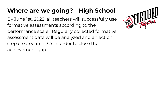### **Where are we going? - High School**

By June 1st, 2022, all teachers will successfully use formative assessments according to the performance scale. Regularly collected formative assessment data will be analyzed and an action step created in PLC's in order to close the achievement gap.

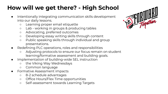## **How will we get there? - High School**

- Intentionally integrating communication skills development into our daily lessons.
	- Learning proper email etiquette
	- Lab working in groups & producing tables
	- Advocating, preferred outcomes
	- Developing essay writing skills through content
	- Public speaking skills through individual and group presentations.
- Redefining PLC operations, roles and responsibilities
	- Adjusting protocols to ensure our focus remain on student learning/formative assessment and building goals.
- Implementation of building-wide SEL instruction
	- the Viking Way Wednesdays
	- Common language
- Formative Assessment impacts
	- 8-2 schedule advantages
	- Office Hours/Flex Time opportunities
	- Self-assessment towards Learning Targets

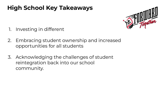## **High School Key Takeaways**



- 1. Investing in different
- 2. Embracing student ownership and increased opportunities for all students
- 3. Acknowledging the challenges of student reintegration back into our school community.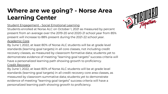#### **Where are we going? - Norse Area Learning Center**

#### Student Engagement - Social Emotional Learning

Students enrolled at Norse ALC on October 1, 2021 as measured by percent present from an average over the 2019-20 and 2020-21 school year from 85% present will increase to 88% present during the 2021-22 school year. Academic Core

By June 1, 2022, at least 80% of Norse ALC students will be at grade level standards (learning goal targets) in all core classes, not including credit recovery classes, as measured by classroom formative data; students yet to demonstrate evidence of meeting "learning goal targets" success criteria will have a personalized learning path showing growth to proficiency.

#### Credit Recovery

By June 1, 2022, at least 80% of Norse ALC students will be at grade level standards (learning goal targets) in all credit recovery core area classes, as measured by classroom summative data; students yet to demonstrate evidence of meeting "learning goal targets" success criteria will have a personalized learning path showing growth to proficiency.

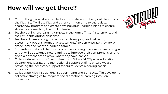### **How will we get there?**

- 1. Committing to our shared collective commitment in living out the work of the PLC. Staff will use PLC and other common time to share data, chart/show progress and create new individual learning plans to ensure students are reaching their full potential
- 2. Teachers will share learning targets, in the form of "I Can" statements with their students during class time.
- 3. Teachers differentiating instruction by developing and delivering assessment options (formative assessments) to demonstrate they are at grade level and met the learning target.
- 4. Students who do not demonstrate understanding of a specific learning goal target will be assigned new learnings to improve their comprehension and given a new chance to prove what they have learned.
- 5. Collaborate with North Branch Area High School VLC/Special education department, SCRED and Instructional Support staff to ensure we are providing the necessary support for our students receiving special education
- 6. Collaborate with Instructional Support Team and SCRED staff in developing collective strategies to integrate social emotional learning into Core instruction.

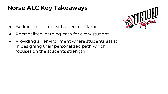#### **Norse ALC Key Takeaways**

- Building a culture with a sense of family
- Personalized learning path for every student
- Providing an environment where students assist in designing their personalized path which focuses on the students strength

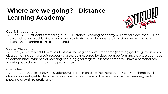## **Where are we going? - Distance Learning Academy**



Goal 1: Engagement

By June 1, 2022, students attending our K-5 Distance Learning Academy will attend more that 90% as measured by our weekly attendance logs; students yet to demonstrate this standard will have a personalized learning path to our desired outcome

#### Goal 2: Academic

By June 1, 2022, at least 80% of students will be at grade level standards (learning goal targets) in all core classes, not including credit recovery classes, as measured by classroom performance data; students yet to demonstrate evidence of meeting "learning goal targets" success criteria will have a personalized learning path showing growth to proficiency.

#### Goal 3: Pacing

By June 1, 2022, at least 80% of students will remain on pace (no more than five days behind) in all core classes, students yet to demonstrate our desired outcome will have a personalized learning path showing growth to proficiency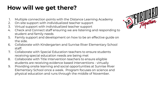### **How will we get there?**

- 1. Multiple connection points with the Distance Learning Academy
- 2. On-site support with individualized teacher support
- 3. Virtual support with individualized teacher support
- 4. Check and Connect staff ensuring we are listening and responding to student and family needs
- 5. Family support and development on how to be an effective guide on the side.
- 6. Collaborate with Kindergarten and Sunrise River Elementary School staff.
- 7. Collaborate with Special Education teachers to ensure students receiving special education needs are being met
- 8. Collaborate with Title Intervention teachers to ensure eligible students are receiving evidence based interventions - virtually
- 9. Providing onsite learning and social opportunities at Sunrise River Elementary School once a week. Program focuses on science and physical education and runs through the middle of November.